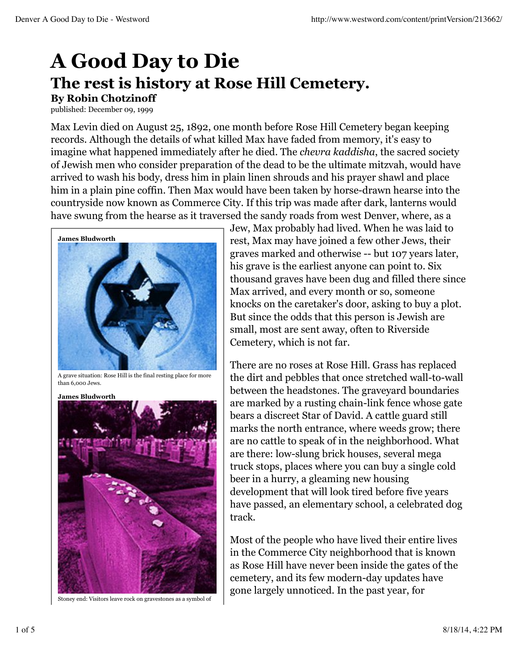## **A Good Day to Die The rest is history at Rose Hill Cemetery. By Robin Chotzinoff**

published: December 09, 1999

Max Levin died on August 25, 1892, one month before Rose Hill Cemetery began keeping records. Although the details of what killed Max have faded from memory, it's easy to imagine what happened immediately after he died. The *chevra kaddisha*, the sacred society of Jewish men who consider preparation of the dead to be the ultimate mitzvah, would have arrived to wash his body, dress him in plain linen shrouds and his prayer shawl and place him in a plain pine coffin. Then Max would have been taken by horse-drawn hearse into the countryside now known as Commerce City. If this trip was made after dark, lanterns would have swung from the hearse as it traversed the sandy roads from west Denver, where, as a



A grave situation: Rose Hill is the final resting place for more than 6,000 Jews.

**James Bludworth**

Stoney end: Visitors leave rock on gravestones as a symbol of

Jew, Max probably had lived. When he was laid to rest, Max may have joined a few other Jews, their graves marked and otherwise -- but 107 years later, his grave is the earliest anyone can point to. Six thousand graves have been dug and filled there since Max arrived, and every month or so, someone knocks on the caretaker's door, asking to buy a plot. But since the odds that this person is Jewish are small, most are sent away, often to Riverside Cemetery, which is not far.

There are no roses at Rose Hill. Grass has replaced the dirt and pebbles that once stretched wall-to-wall between the headstones. The graveyard boundaries are marked by a rusting chain-link fence whose gate bears a discreet Star of David. A cattle guard still marks the north entrance, where weeds grow; there are no cattle to speak of in the neighborhood. What are there: low-slung brick houses, several mega truck stops, places where you can buy a single cold beer in a hurry, a gleaming new housing development that will look tired before five years have passed, an elementary school, a celebrated dog track.

Most of the people who have lived their entire lives in the Commerce City neighborhood that is known as Rose Hill have never been inside the gates of the cemetery, and its few modern-day updates have gone largely unnoticed. In the past year, for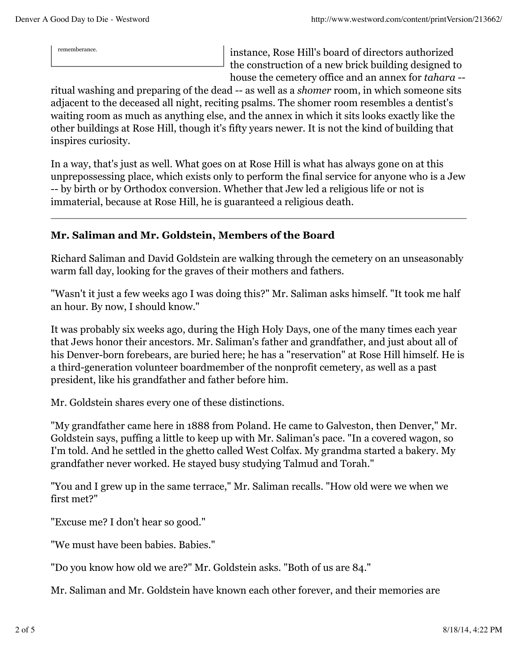rememberance. instance, Rose Hill's board of directors authorized the construction of a new brick building designed to house the cemetery office and an annex for *tahara* --

ritual washing and preparing of the dead -- as well as a *shomer* room, in which someone sits adjacent to the deceased all night, reciting psalms. The shomer room resembles a dentist's waiting room as much as anything else, and the annex in which it sits looks exactly like the other buildings at Rose Hill, though it's fifty years newer. It is not the kind of building that inspires curiosity.

In a way, that's just as well. What goes on at Rose Hill is what has always gone on at this unprepossessing place, which exists only to perform the final service for anyone who is a Jew -- by birth or by Orthodox conversion. Whether that Jew led a religious life or not is immaterial, because at Rose Hill, he is guaranteed a religious death.

## **Mr. Saliman and Mr. Goldstein, Members of the Board**

Richard Saliman and David Goldstein are walking through the cemetery on an unseasonably warm fall day, looking for the graves of their mothers and fathers.

"Wasn't it just a few weeks ago I was doing this?" Mr. Saliman asks himself. "It took me half an hour. By now, I should know."

It was probably six weeks ago, during the High Holy Days, one of the many times each year that Jews honor their ancestors. Mr. Saliman's father and grandfather, and just about all of his Denver-born forebears, are buried here; he has a "reservation" at Rose Hill himself. He is a third-generation volunteer boardmember of the nonprofit cemetery, as well as a past president, like his grandfather and father before him.

Mr. Goldstein shares every one of these distinctions.

"My grandfather came here in 1888 from Poland. He came to Galveston, then Denver," Mr. Goldstein says, puffing a little to keep up with Mr. Saliman's pace. "In a covered wagon, so I'm told. And he settled in the ghetto called West Colfax. My grandma started a bakery. My grandfather never worked. He stayed busy studying Talmud and Torah."

"You and I grew up in the same terrace," Mr. Saliman recalls. "How old were we when we first met?"

"Excuse me? I don't hear so good."

"We must have been babies. Babies."

"Do you know how old we are?" Mr. Goldstein asks. "Both of us are 84."

Mr. Saliman and Mr. Goldstein have known each other forever, and their memories are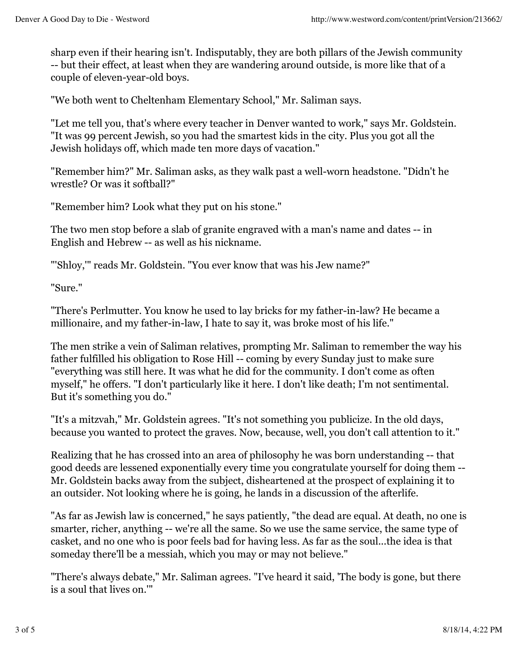sharp even if their hearing isn't. Indisputably, they are both pillars of the Jewish community -- but their effect, at least when they are wandering around outside, is more like that of a couple of eleven-year-old boys.

"We both went to Cheltenham Elementary School," Mr. Saliman says.

"Let me tell you, that's where every teacher in Denver wanted to work," says Mr. Goldstein. "It was 99 percent Jewish, so you had the smartest kids in the city. Plus you got all the Jewish holidays off, which made ten more days of vacation."

"Remember him?" Mr. Saliman asks, as they walk past a well-worn headstone. "Didn't he wrestle? Or was it softball?"

"Remember him? Look what they put on his stone."

The two men stop before a slab of granite engraved with a man's name and dates -- in English and Hebrew -- as well as his nickname.

"'Shloy,'" reads Mr. Goldstein. "You ever know that was his Jew name?"

"Sure."

"There's Perlmutter. You know he used to lay bricks for my father-in-law? He became a millionaire, and my father-in-law, I hate to say it, was broke most of his life."

The men strike a vein of Saliman relatives, prompting Mr. Saliman to remember the way his father fulfilled his obligation to Rose Hill -- coming by every Sunday just to make sure "everything was still here. It was what he did for the community. I don't come as often myself," he offers. "I don't particularly like it here. I don't like death; I'm not sentimental. But it's something you do."

"It's a mitzvah," Mr. Goldstein agrees. "It's not something you publicize. In the old days, because you wanted to protect the graves. Now, because, well, you don't call attention to it."

Realizing that he has crossed into an area of philosophy he was born understanding -- that good deeds are lessened exponentially every time you congratulate yourself for doing them -- Mr. Goldstein backs away from the subject, disheartened at the prospect of explaining it to an outsider. Not looking where he is going, he lands in a discussion of the afterlife.

"As far as Jewish law is concerned," he says patiently, "the dead are equal. At death, no one is smarter, richer, anything -- we're all the same. So we use the same service, the same type of casket, and no one who is poor feels bad for having less. As far as the soul...the idea is that someday there'll be a messiah, which you may or may not believe."

"There's always debate," Mr. Saliman agrees. "I've heard it said, 'The body is gone, but there is a soul that lives on.'"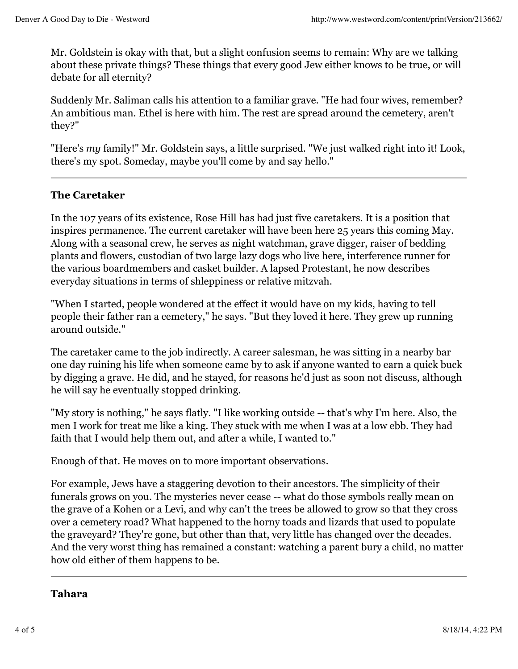Mr. Goldstein is okay with that, but a slight confusion seems to remain: Why are we talking about these private things? These things that every good Jew either knows to be true, or will debate for all eternity?

Suddenly Mr. Saliman calls his attention to a familiar grave. "He had four wives, remember? An ambitious man. Ethel is here with him. The rest are spread around the cemetery, aren't they?"

"Here's *my* family!" Mr. Goldstein says, a little surprised. "We just walked right into it! Look, there's my spot. Someday, maybe you'll come by and say hello."

## **The Caretaker**

In the 107 years of its existence, Rose Hill has had just five caretakers. It is a position that inspires permanence. The current caretaker will have been here 25 years this coming May. Along with a seasonal crew, he serves as night watchman, grave digger, raiser of bedding plants and flowers, custodian of two large lazy dogs who live here, interference runner for the various boardmembers and casket builder. A lapsed Protestant, he now describes everyday situations in terms of shleppiness or relative mitzvah.

"When I started, people wondered at the effect it would have on my kids, having to tell people their father ran a cemetery," he says. "But they loved it here. They grew up running around outside."

The caretaker came to the job indirectly. A career salesman, he was sitting in a nearby bar one day ruining his life when someone came by to ask if anyone wanted to earn a quick buck by digging a grave. He did, and he stayed, for reasons he'd just as soon not discuss, although he will say he eventually stopped drinking.

"My story is nothing," he says flatly. "I like working outside -- that's why I'm here. Also, the men I work for treat me like a king. They stuck with me when I was at a low ebb. They had faith that I would help them out, and after a while, I wanted to."

Enough of that. He moves on to more important observations.

For example, Jews have a staggering devotion to their ancestors. The simplicity of their funerals grows on you. The mysteries never cease -- what do those symbols really mean on the grave of a Kohen or a Levi, and why can't the trees be allowed to grow so that they cross over a cemetery road? What happened to the horny toads and lizards that used to populate the graveyard? They're gone, but other than that, very little has changed over the decades. And the very worst thing has remained a constant: watching a parent bury a child, no matter how old either of them happens to be.

## **Tahara**